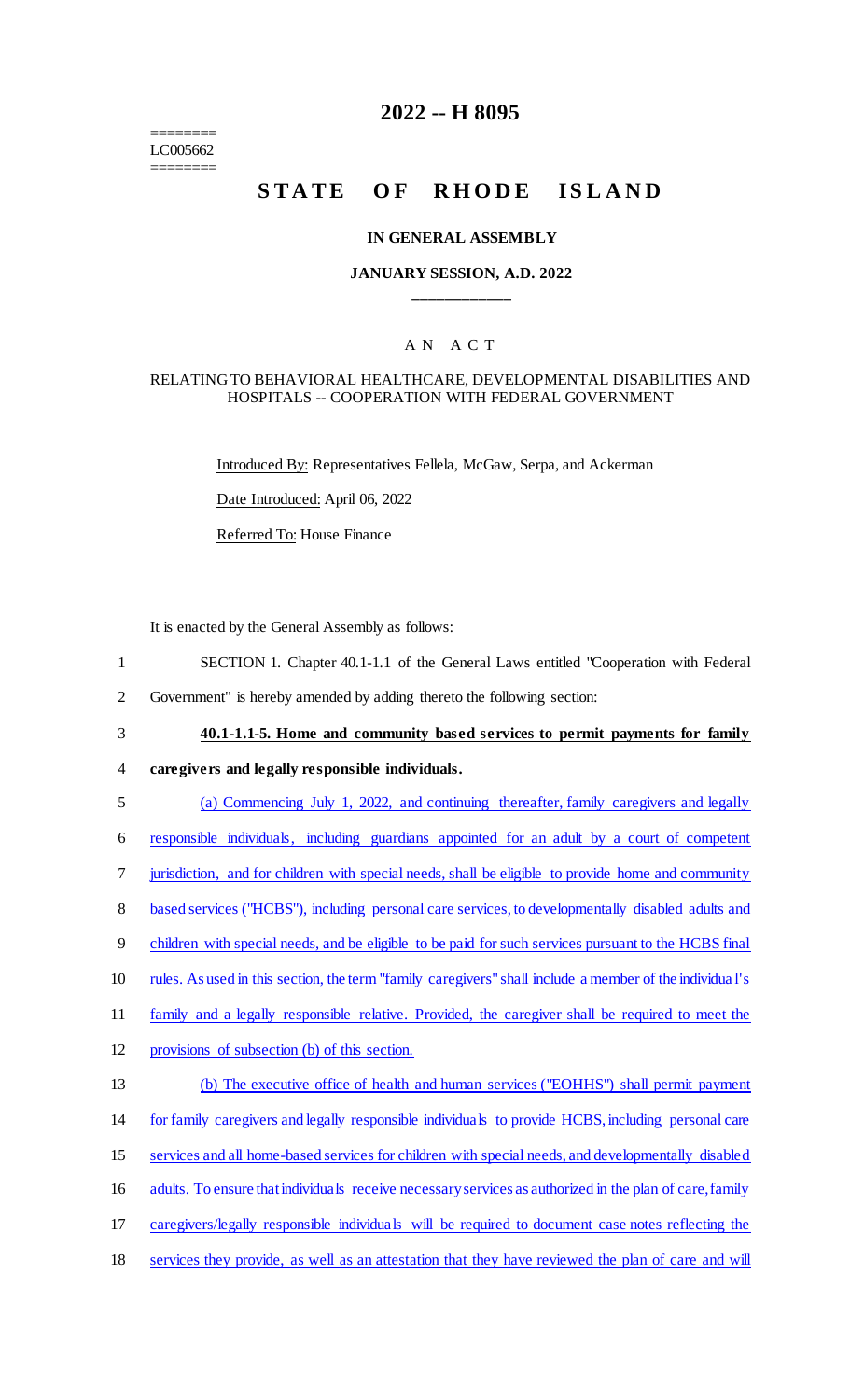======== LC005662 ========

# **2022 -- H 8095**

# **STATE OF RHODE ISLAND**

#### **IN GENERAL ASSEMBLY**

## **JANUARY SESSION, A.D. 2022 \_\_\_\_\_\_\_\_\_\_\_\_**

## A N A C T

#### RELATING TO BEHAVIORAL HEALTHCARE, DEVELOPMENTAL DISABILITIES AND HOSPITALS -- COOPERATION WITH FEDERAL GOVERNMENT

Introduced By: Representatives Fellela, McGaw, Serpa, and Ackerman

Date Introduced: April 06, 2022

Referred To: House Finance

It is enacted by the General Assembly as follows:

- 1 SECTION 1. Chapter 40.1-1.1 of the General Laws entitled "Cooperation with Federal
- 2 Government" is hereby amended by adding thereto the following section:
- 3 **40.1-1.1-5. Home and community based services to permit payments for family**

#### 4 **caregivers and legally responsible individuals.**

5 (a) Commencing July 1, 2022, and continuing thereafter, family caregivers and legally

6 responsible individuals, including guardians appointed for an adult by a court of competent

7 jurisdiction, and for children with special needs, shall be eligible to provide home and community

8 based services ("HCBS"), including personal care services, to developmentally disabled adults and

- 9 children with special needs, and be eligible to be paid for such services pursuant to the HCBS final
- 10 rules. As used in this section, the term "family caregivers" shall include a member of the individua l's
- 11 family and a legally responsible relative. Provided, the caregiver shall be required to meet the
- 12 provisions of subsection (b) of this section.
- 13 (b) The executive office of health and human services ("EOHHS") shall permit payment 14 for family caregivers and legally responsible individuals to provide HCBS, including personal care 15 services and all home-based services for children with special needs, and developmentally disabled 16 adults. To ensure that individuals receive necessary services as authorized in the plan of care, family 17 caregivers/legally responsible individuals will be required to document case notes reflecting the
- 18 services they provide, as well as an attestation that they have reviewed the plan of care and will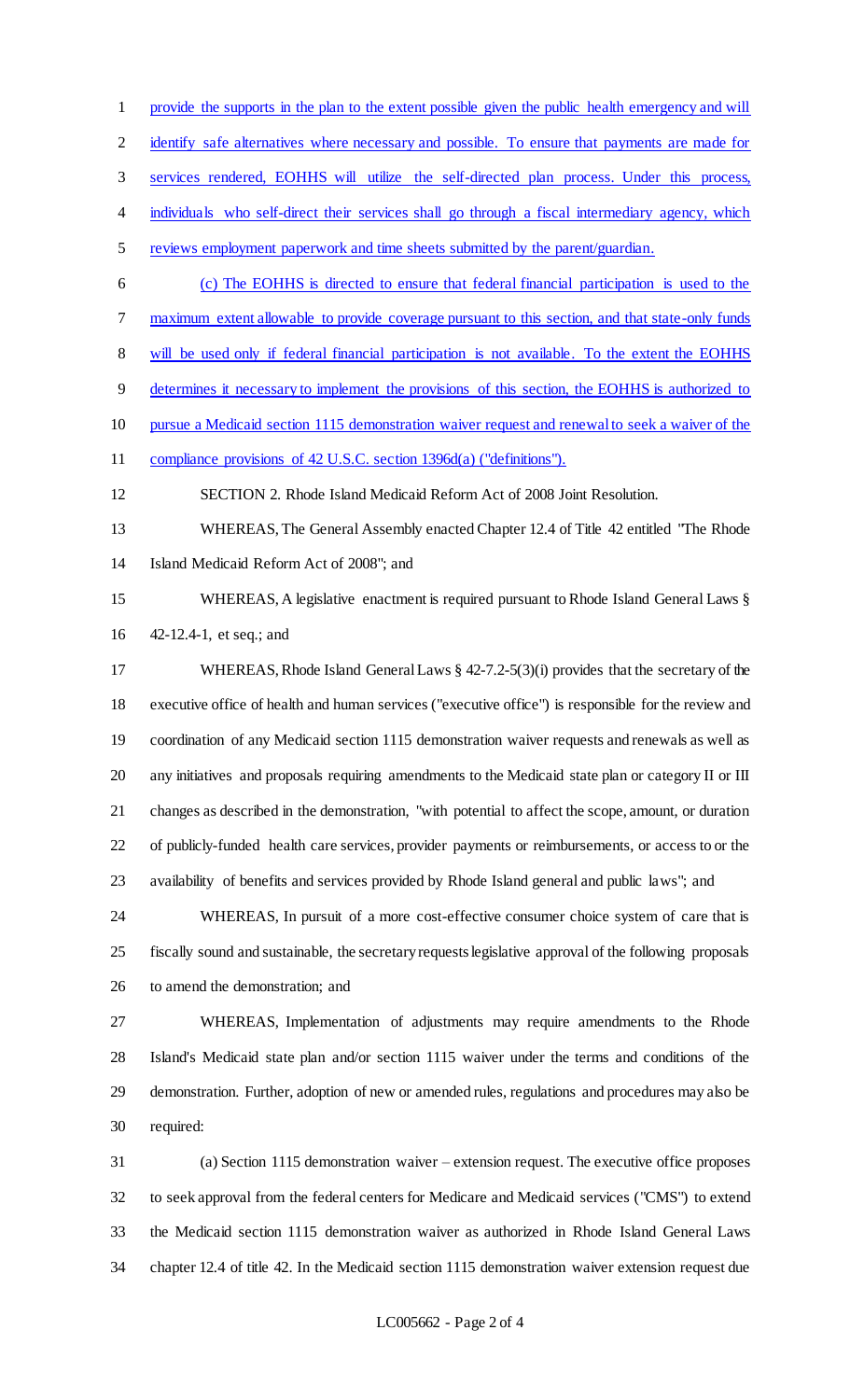provide the supports in the plan to the extent possible given the public health emergency and will

2 identify safe alternatives where necessary and possible. To ensure that payments are made for

services rendered, EOHHS will utilize the self-directed plan process. Under this process,

4 individuals who self-direct their services shall go through a fiscal intermediary agency, which

- reviews employment paperwork and time sheets submitted by the parent/guardian.
- (c) The EOHHS is directed to ensure that federal financial participation is used to the maximum extent allowable to provide coverage pursuant to this section, and that state-only funds

will be used only if federal financial participation is not available. To the extent the EOHHS

- determines it necessary to implement the provisions of this section, the EOHHS is authorized to
- pursue a Medicaid section 1115 demonstration waiver request and renewal to seek a waiver of the
- compliance provisions of 42 U.S.C. section 1396d(a) ("definitions").
- SECTION 2. Rhode Island Medicaid Reform Act of 2008 Joint Resolution.
- WHEREAS, The General Assembly enacted Chapter 12.4 of Title 42 entitled "The Rhode Island Medicaid Reform Act of 2008"; and
- WHEREAS, A legislative enactment is required pursuant to Rhode Island General Laws § 42-12.4-1, et seq.; and
- WHEREAS, Rhode Island General Laws § 42-7.2-5(3)(i) provides that the secretary of the executive office of health and human services ("executive office") is responsible for the review and coordination of any Medicaid section 1115 demonstration waiver requests and renewals as well as any initiatives and proposals requiring amendments to the Medicaid state plan or category II or III changes as described in the demonstration, "with potential to affect the scope, amount, or duration of publicly-funded health care services, provider payments or reimbursements, or access to or the availability of benefits and services provided by Rhode Island general and public laws"; and

 WHEREAS, In pursuit of a more cost-effective consumer choice system of care that is fiscally sound and sustainable, the secretary requests legislative approval of the following proposals to amend the demonstration; and

 WHEREAS, Implementation of adjustments may require amendments to the Rhode Island's Medicaid state plan and/or section 1115 waiver under the terms and conditions of the demonstration. Further, adoption of new or amended rules, regulations and procedures may also be required:

 (a) Section 1115 demonstration waiver – extension request. The executive office proposes to seek approval from the federal centers for Medicare and Medicaid services ("CMS") to extend the Medicaid section 1115 demonstration waiver as authorized in Rhode Island General Laws chapter 12.4 of title 42. In the Medicaid section 1115 demonstration waiver extension request due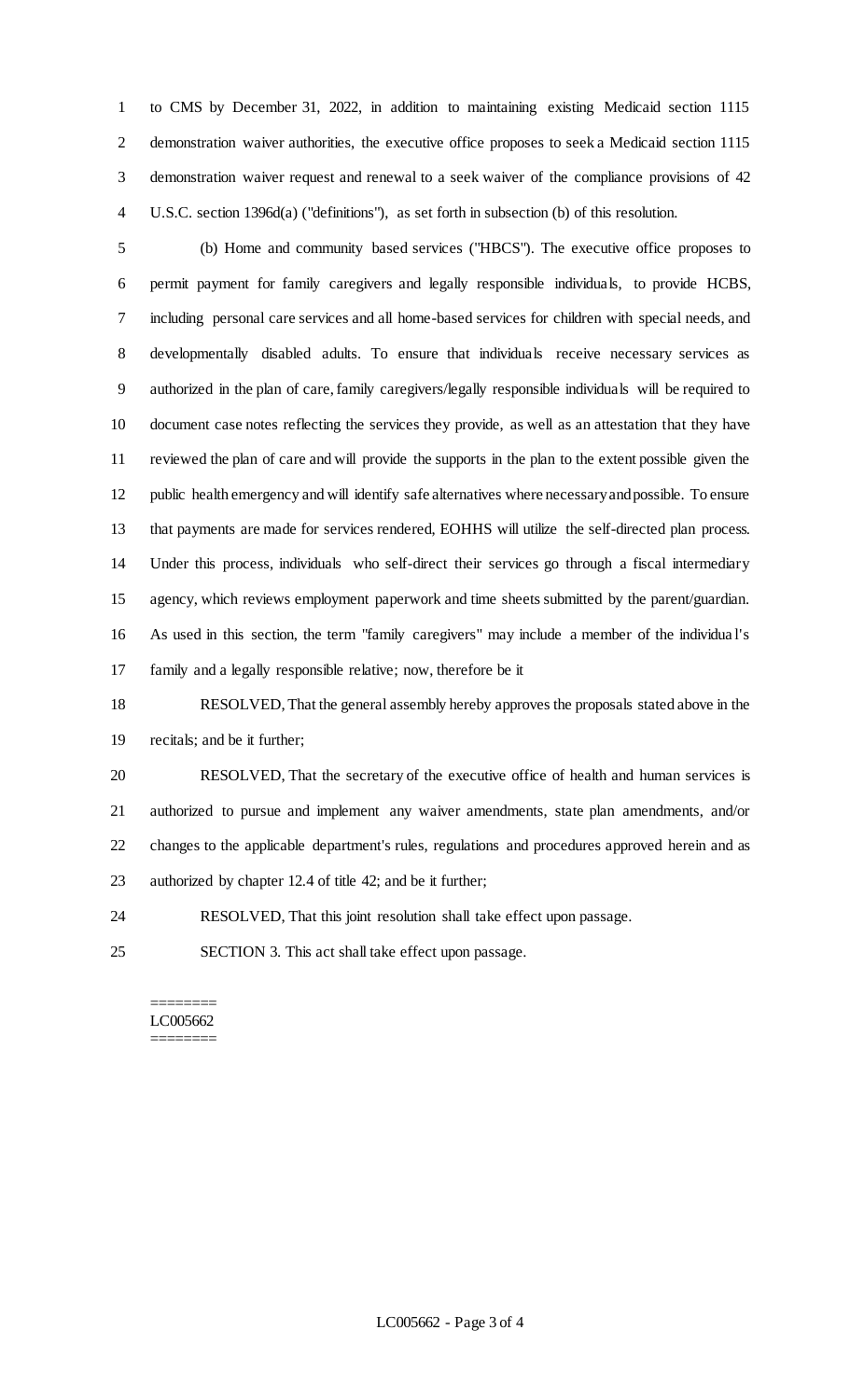to CMS by December 31, 2022, in addition to maintaining existing Medicaid section 1115 demonstration waiver authorities, the executive office proposes to seek a Medicaid section 1115 demonstration waiver request and renewal to a seek waiver of the compliance provisions of 42 U.S.C. section 1396d(a) ("definitions"), as set forth in subsection (b) of this resolution.

 (b) Home and community based services ("HBCS"). The executive office proposes to permit payment for family caregivers and legally responsible individuals, to provide HCBS, including personal care services and all home-based services for children with special needs, and developmentally disabled adults. To ensure that individuals receive necessary services as authorized in the plan of care, family caregivers/legally responsible individuals will be required to document case notes reflecting the services they provide, as well as an attestation that they have reviewed the plan of care and will provide the supports in the plan to the extent possible given the public health emergency and will identify safe alternatives where necessary and possible. To ensure that payments are made for services rendered, EOHHS will utilize the self-directed plan process. Under this process, individuals who self-direct their services go through a fiscal intermediary agency, which reviews employment paperwork and time sheets submitted by the parent/guardian. As used in this section, the term "family caregivers" may include a member of the individua l's family and a legally responsible relative; now, therefore be it

 RESOLVED, That the general assembly hereby approves the proposals stated above in the recitals; and be it further;

 RESOLVED, That the secretary of the executive office of health and human services is authorized to pursue and implement any waiver amendments, state plan amendments, and/or changes to the applicable department's rules, regulations and procedures approved herein and as authorized by chapter 12.4 of title 42; and be it further;

RESOLVED, That this joint resolution shall take effect upon passage.

SECTION 3. This act shall take effect upon passage.

======== LC005662 ========